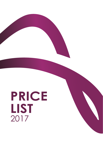# **PRICE LIST** 2017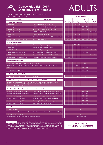

# **Course Price List - 2017**

**Short Stays (1 to 7 Weeks)** ADULTS

**LESSONS PER WEEK LESSONS PER WEEK**

All Prices are in Euros (€) and per Person per Week Each Lesson = 45 Minutes

| <b>COURSE</b>                                                                                                     | <b>DESCRIPTION</b>                                                                        |     | 10<br>20 |                  |     | 30          |     | 40          |     |      |
|-------------------------------------------------------------------------------------------------------------------|-------------------------------------------------------------------------------------------|-----|----------|------------------|-----|-------------|-----|-------------|-----|------|
| <b>General English Courses</b>                                                                                    |                                                                                           | Low |          | <b>High</b>      | Low | <b>High</b> | Low | <b>High</b> | Low | High |
| <b>ACE Group 20</b>                                                                                               | 20 General English Group Lessons                                                          |     |          |                  | 150 | 200         |     |             |     |      |
| <b>ACE Group 30</b>                                                                                               | ACE Group 20 + 10 Group Conversation Classes                                              |     |          |                  |     |             | 230 | 280         |     |      |
| <b>ACE Combination 30</b>                                                                                         | ACE Group 20 + 10 Private 1 to 1 Lessons                                                  |     |          |                  |     |             | 385 | 435         |     |      |
| <b>ACE Combination 40</b>                                                                                         | ACE Group 20 + 20 Private 1 to 1 Lessons                                                  |     |          |                  |     |             |     |             | 620 | 670  |
| ACE Mini 20                                                                                                       | Maximum of 6 Students per Class                                                           |     |          |                  | 235 | 285         |     |             |     |      |
| <b>ACE Conversation 10</b>                                                                                        | Group Conversation Classes (Afternoon Only)                                               |     | 80       |                  |     |             |     |             |     |      |
| ACE Personalised 10 / 20 / 30 / 40                                                                                | 1 to 1 Private Lessons                                                                    | 240 |          | $\overline{290}$ | 470 | 520         | 700 | 750         | 930 | 980  |
| <b>Business English Courses</b>                                                                                   |                                                                                           |     |          |                  |     |             |     |             |     |      |
| <b>ACE Business 20</b>                                                                                            | 20 Business English Group Lessons                                                         |     |          |                  | 280 | 330         |     |             |     |      |
| <b>ACE Business 30</b>                                                                                            |                                                                                           |     |          |                  |     |             | 420 | 470         |     |      |
|                                                                                                                   | 30 Business English Group Lessons                                                         |     |          |                  |     |             |     |             |     |      |
| <b>ACE Business 40</b>                                                                                            | 40 Business English Group Lessons                                                         |     |          |                  |     |             |     |             | 560 | 610  |
| <b>ACE Business Combination 30</b>                                                                                | ACE Business 20 + 10 Private 1 to 1 Lessons                                               |     |          |                  |     |             | 515 | 565         |     |      |
| <b>ACE Business Combination 40</b>                                                                                | ACE Business 20 + 20 Private 1 to 1 Lessons                                               |     |          |                  |     |             |     |             | 750 | 800  |
| <b>ACE Business Communication 10</b>                                                                              | Fluency & Writing Communication Skills                                                    |     | 100      |                  |     |             |     |             |     |      |
| <b>Exam Preparation Courses</b>                                                                                   |                                                                                           |     |          |                  |     |             |     |             |     |      |
| Cambridge ESOL (KET, PET, FCE, CAE, CPE) - 8 Weeks                                                                |                                                                                           |     |          |                  |     |             |     | 280         |     |      |
|                                                                                                                   | Cambridge ESOL (KET, PET, FCE, CAE, CPE) - 4 Weeks - July/August (Afternoon Only)         |     |          |                  |     | 240         |     |             |     |      |
| <b>IELTS - 6 Weeks Minimum</b>                                                                                    |                                                                                           |     |          |                  |     |             | 250 | 300         |     |      |
| <b>TOEFL - 6 Weeks Minimum</b>                                                                                    |                                                                                           |     |          |                  |     |             | 250 | 300         |     |      |
|                                                                                                                   |                                                                                           |     |          |                  |     |             |     |             |     |      |
| <b>ACE Academic Course (24 Weeks)</b>                                                                             |                                                                                           |     |          |                  |     |             |     | 115         |     |      |
| 16 Weeks of ACE Group 30 + 8 Weeks of IELTS Preparation 30                                                        |                                                                                           |     |          |                  |     |             |     |             |     |      |
|                                                                                                                   | ACE Plus Courses (Supplement added to General English, Mini & Business Courses)           |     |          |                  |     |             |     |             |     |      |
|                                                                                                                   | Academic, Architecture & Civil Engineering, Art & Design, Aviation, Creative Writing,     |     |          |                  |     |             |     |             |     |      |
| Finance, Historical & Cultural Engagement, Hospitality, Law, Maritime, Medicine,<br>Photography, Travel & Tourism |                                                                                           |     | 275      |                  |     |             |     |             |     |      |
|                                                                                                                   |                                                                                           |     |          |                  |     |             |     |             |     |      |
| <b>Teacher Training Group Courses (Erasmus+ Funding Available)</b>                                                |                                                                                           |     |          |                  |     |             |     |             |     |      |
| Practical Methodology - Primary                                                                                   | Review & Refresh Modern Teaching Strategies                                               |     |          |                  |     |             | 400 | 450         |     |      |
| Practical Methodology - Secondary                                                                                 | Review & Refresh Modern Teaching Strategies                                               |     |          |                  |     |             | 400 | 450         |     |      |
| Practical Methodology - Dyslexia                                                                                  | Ideas to Facilitate Learning for Dyslexics                                                |     |          |                  |     |             | 400 | 450         |     |      |
| Practical Methodology - IWB                                                                                       | Hands-On Interactive Whiteboard Training                                                  |     |          |                  |     |             | 400 | 450         |     |      |
| Practical Methodology - TEFL                                                                                      | Teaching English as a Foreign Language                                                    |     |          |                  |     |             | 400 | 450         |     |      |
| Practical Methodology - ICT                                                                                       | <b>Technologically Enhanced Learning</b>                                                  |     |          |                  |     |             | 400 | 450         |     |      |
| <b>Other Fees</b>                                                                                                 |                                                                                           |     |          |                  |     |             |     |             |     |      |
| <b>School Registration</b>                                                                                        |                                                                                           |     |          |                  |     |             | 45  |             |     |      |
|                                                                                                                   | Airport Return Transfers (Obligatory when booking Apartment or Host Family Accommodation) |     |          |                  |     |             | 50  |             |     |      |
| Visa Letter Administration                                                                                        |                                                                                           |     |          |                  |     |             | 40  |             |     |      |
| From 8 per Week<br>International Medical & Financial Insurance (Optional)                                         |                                                                                           |     |          |                  |     |             |     |             |     |      |

Rates Include: Course as booked | Course Materials | Course Certificate | Free Weekly Group Conversation Class (October to June) | Monthly Progress Test | Monthly Individual Academic Assessment | 24/7 Welfare Assistance | Welcome Pack | Student Card | Free SIM Card | Free WiFi (School & Apartments Only) | School Internet Café | Weekly Student Welcome Party | Online Placement Test | Europass Mobility Certifcate (Optional for General English - €15.00).

### **HIGH SEASON 11**TH **JUNE** TO **24**TH **SEPTEMBER**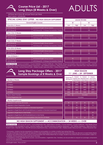# **Course Price List - 2017**

# **Long Stays (8 Weeks & Over)** ADULTS

All Prices are in Euros (€) and per Person per Week Each Lesson =  $45$  Minutes

| <b>SPECIAL LONG STAY OFFER - NO HIGH SEASON SUPPLEMENT</b> |                                              |  |  |  |  |
|------------------------------------------------------------|----------------------------------------------|--|--|--|--|
| <b>General English Courses</b>                             |                                              |  |  |  |  |
| From 8 to 11 Weeks                                         |                                              |  |  |  |  |
| <b>ACE Group 20</b>                                        | 20 General English Group Lessons             |  |  |  |  |
| <b>ACE Group 30</b>                                        | ACE Group 20 + 10 Group Conversation Classes |  |  |  |  |
| From 12 to 15 Weeks                                        |                                              |  |  |  |  |
| <b>ACE Group 20</b>                                        | 20 General English Group Lessons             |  |  |  |  |
| <b>ACE Group 30</b>                                        | ACE Group 20 + 10 Group Conversation Classes |  |  |  |  |
| From 16 to 19 Weeks                                        |                                              |  |  |  |  |
| <b>ACE Group 20</b>                                        | 20 General English Group Lessons             |  |  |  |  |
| <b>ACE Group 30</b>                                        | ACE Group 20 + 10 Group Conversation Classes |  |  |  |  |
| From 20 to 23 Weeks                                        |                                              |  |  |  |  |
| <b>ACE Group 20</b>                                        | 20 General English Group Lessons             |  |  |  |  |
| ACE Group 30                                               | ACE Group 20 + 10 Group Conversation Classes |  |  |  |  |
| From 24 Weeks +                                            |                                              |  |  |  |  |
| <b>ACE Group 20</b>                                        | 20 General English Group Lessons             |  |  |  |  |
| <b>ACE Group 30</b>                                        | ACE Group 20 + 10 Group Conversation Classes |  |  |  |  |

|     |             | <b>LESSONS PER WEEK</b> |             |
|-----|-------------|-------------------------|-------------|
|     |             |                         |             |
|     | 20          |                         | 30          |
| Low | <b>High</b> | Low                     | <b>High</b> |
|     | 115         |                         |             |
|     |             |                         | 165         |
|     |             |                         |             |
|     | 110         |                         |             |
|     |             |                         |             |
|     |             |                         | 160         |
|     |             |                         |             |
|     | 105         |                         |             |
|     |             |                         | 155         |
|     |             |                         |             |
|     | 100         |                         |             |
|     |             |                         | 150         |
|     |             |                         |             |
|     |             |                         |             |
|     | 95          |                         |             |
|     |             |                         | 145         |

Rates Include: Course as booked | Course Materials | Course Certificate | Free Weekly Group Conversation Class (October to June) | Monthly Progress Test | Monthly Individual Academic Assessment | 24/7 Welfare Assistance | Welcome Pack | Student Card | Free SIM Card | Free WiFi (School & Apartments Only) | School Internet Café | Weekly Student Welcome Party | Online Placement Test. **Rates Include:**

**Long Stay Package Offers - 2017 Sample Bookings of 8 Weeks & Over**

| <b>Number of Weeks</b>                                                         |  |
|--------------------------------------------------------------------------------|--|
| 8 Weeks                                                                        |  |
| 12 Weeks                                                                       |  |
| 16 Weeks                                                                       |  |
| 20 Weeks                                                                       |  |
| 24 Weeks                                                                       |  |
| <b>Return Airport Transfers</b>                                                |  |
| <b>School Registration Fee</b>                                                 |  |
| <b>Weekly Supplements</b>                                                      |  |
| Upgrade to ACE Group 30 Course                                                 |  |
| Upgrade to Exam Preparation Course                                             |  |
| Upgrade to Single Room in Superior or Standard Apartment                       |  |
| Upgrade to Single Room with Private Bathroom in Superior or Standard Apartment |  |
| Upgrade to Single Room in Host Family                                          |  |

Upgrade to Single Room with Private Bathroom in Host Family

High Season Supplement in Accommodation Only from 8 to 23 Weeks

**HIGH SEASON 11**TH **JUNE** TO **24**TH **SEPTEMBER**

| <b>Course Only</b><br>ACE Grp 20 | Course +<br><b>Superior Apt.</b><br>(Twin Room) | Course +<br><b>Standard Apt.</b><br>(Twin Room) | Course +<br><b>Host Family</b><br>(Twin Room) |  |  |  |
|----------------------------------|-------------------------------------------------|-------------------------------------------------|-----------------------------------------------|--|--|--|
| 965                              | 2135                                            | 1975                                            | 2295                                          |  |  |  |
| 1365                             | 3095                                            | 2855                                            | 3335                                          |  |  |  |
| 1725                             | 4015                                            | 3695                                            | 4335                                          |  |  |  |
| 2045                             | 4895                                            | 4495                                            | 5295                                          |  |  |  |
| 2325                             | 5735                                            | 5255                                            | 6215                                          |  |  |  |
| Included<br>N/A                  |                                                 |                                                 |                                               |  |  |  |
| Included                         |                                                 |                                                 |                                               |  |  |  |

| 50 | 50  | 50  | 50 |
|----|-----|-----|----|
| 70 | 70  | 70  | 70 |
|    | 80  | 80  |    |
|    | 100 | 100 |    |
|    |     |     | 60 |
|    |     |     | 80 |
|    | 50  | 50  | 50 |

## **NO HIGH SEASON SUPPLEMENT** ON **ACCOMMODATION** OF **24 WEEKS** AND **OVER**

Rates Include: ACE Group 20 Course | School Registration Fee | Airport Return Transfers | Course Materials | Course Certificate | Free Weekly Group Conversation Class (October to June) | Monthly Progress Test | Monthly Individual Academic Assessment | 24/7 Welfare Assistance | Welcome Pack | Student Card | Free SIM Card | Free WiFi (School & Apartments Only) | School Internet Café | Weekly Student Welcome Party | Online Placement Test.

- If necessary, students may be requested to change accommodation to a similar or better type during their stay.

- Courses of between 8 and 23 weeks are allowed a 2 week Holiday Break and courses of between 24 and 52 weeks are allowed a 4 week Holiday Break. - Students may extend their tuition course to accommodate their Holiday Break free of charge. Students may extend their accommodation subject to availability and by paying the brochure rate at the time.

- A breakdown of the package prices (course / accommodation / registration fee / transfers) can be provided on request but package components cannot be sold separately.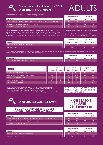

# **Accommodation Price List - 2017** Accommodation Price List - 2017<br>Short Stays (1 to 7 Weeks)<br>**ADULTS**

All Prices are in Euros (€) and per Person per Week

| <b>Apartments</b>                                                                       |
|-----------------------------------------------------------------------------------------|
| ACE Superior (3/4 Bedrooms sleeping 2/3 per Room) - Less than 10 minutes walk to school |
| ACE Standard (3/4 Bedrooms sleeping 2/3 per Room)                                       |
| Supplement for Private Bathroom                                                         |

|     | <b>Twin/Triple Room</b> | <b>Single Room</b> |             |  |
|-----|-------------------------|--------------------|-------------|--|
| Low | <b>High</b>             | Low                | <b>High</b> |  |
| 180 | 230                     | 280                | 330         |  |
| 160 | 210                     | 260                | 310         |  |
| 60  | 100                     | 60                 | 100         |  |

- All apartments are fully-furnished and include living/kitchen/dining area, cable TV, free Wi-Fi (in living area), fans (in summer), heaters (in winter), bed linen and towels. Apartments are cleaned and linen & towels are changed once a week.

- All students must follow and obey the apartment Rules and Regulations. A refundable damage deposit of €100.00 (cash) is required from every student. This must be paid at school reception on the frst day of school and will be returned on the last day pending any issues relating to the apartment.

|                                                |     | <b>Twin/Triple Room</b> | Single Room |      |
|------------------------------------------------|-----|-------------------------|-------------|------|
| <b>Host Family</b>                             | Low | <b>High</b>             | Low         | High |
| Host Family on Half Board (Breakfast & Dinner) | 180 | 230                     | 240'        | 330  |
| Supplement for Private Bathroom <sup>1</sup>   | N/A |                         | 80          | 100  |

- Any student that books apartment or host family accommodation must also book return airport taxi transfers as they must collect the keys from our driver on arrival and return the keys to our driver on departure.

|                                               |     | Single Room<br><b>Sharing Room</b> |     |      |
|-----------------------------------------------|-----|------------------------------------|-----|------|
| <b>Student Hostel</b>                         | Low | <b>High</b>                        | Low | High |
| Multi-Sharing Rooms including Snack Breakfast | 100 | <b>180</b>                         | N/A |      |

| <b>Hotels</b>                                  | <b>Low Season</b> |        |      | <b>Mid Season</b> | <b>High Season</b> |               |
|------------------------------------------------|-------------------|--------|------|-------------------|--------------------|---------------|
|                                                | <b>Twin</b>       | Single | Twin | <b>Single</b>     | Twin               | <b>Single</b> |
| Intercontinental Malta (5*) B & B              | 500               | 1000   | 750  | 1500              | 950                | 1900          |
| Marina Hotel Corinthia Beach Resort (4*) B & B | 580               | 970    | 700  | 1300              | 900                | 1800          |
| be.HOTEL Malta Studios (4*) S/C                | 310               | 620    | 480  | 950               | 630                | 1250          |
| be. HOTEL Malta $(4^*)$ B & B                  | 270               | 420    | 400  | 690               | 510                | 830           |
| Alexandra Hotel (3*) B & B                     | 200               | 370    | 310  | 550               | 470                | 780           |

- Rates over Christmas, New Year and Easter vary and are available on request.

- Triple and quadruple rooms could be available. Prices are available on request.

- Twin rates are only applicable when 2 students travel together.

- When a single student is booked alone in a double room the single room price shall apply.

**Low Season: 01/01 to 31/03 & 01/11 to 31/12 Mid Season: 01/04 to 30/06 & 01/10 to 31/10 High Season: 01/07 to 30/09**

**Long Stays (8 Weeks & Over)**

### **BOOKINGS** OF **24 WEEKS** AND **OVER** HAVE **NO HIGH SEASON SUPPLEMENT**

#### **Apartments**

ACE Superior (3/4 Bedrooms sleeping 2/3 per Room) - Less than 10 minutes walk to school

ACE Standard (3/4 Bedrooms sleeping 2/3 per Room)

Supplement for Private Bathroom

#### **Host Family**

Host Family on Half Board (Breakfast & Dinner) Supplement for Private Bathroom

# **HIGH SEASON 11**TH **JUNE** TO **24**TH **SEPTEMBER**

| <b>Twin/Triple Room</b> |             | <b>Single Room</b> |             |  |
|-------------------------|-------------|--------------------|-------------|--|
| Low                     | <b>High</b> | Low                | <b>High</b> |  |
| 140                     | 190         | 220                | 270         |  |
| 120                     | 170         | 200                | 250         |  |
| 60                      | 100         | 60                 | 100         |  |

| <b>Twin/Triple Room</b> |      | <b>Single Room</b> |      |
|-------------------------|------|--------------------|------|
| Low                     | High | Low                | High |
| 160                     | 200  | 220                | 270  |
| N/A                     |      | 80                 | 100  |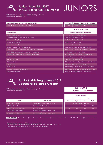# **Juniors Price List - 2017 24/06/17 to 06/08/17 (6 Weeks)** JUNIORS

All Prices are in Euros (€) and per Person per Week Each Lesson = 45 Minutes

| <b>Junior Residence (Full Board with Packed Lunch)</b>       |                                                          | 2 Weeks                                                | <b>Extra Week</b> | <b>Extra Dav</b> |  |
|--------------------------------------------------------------|----------------------------------------------------------|--------------------------------------------------------|-------------------|------------------|--|
| Sharing Student House sleeping 3/4 per Room                  | 790                                                      | 1395                                                   | 660               | 140              |  |
|                                                              | <b>Registration Fee: €45.00</b>                          |                                                        |                   |                  |  |
| Rates Include:                                               | <b>Sample Junior Leisure Programme</b>                   |                                                        |                   |                  |  |
| ACE Group 20 for Juniors                                     | Meet New Friends with the ACE Team                       |                                                        |                   |                  |  |
| Junior Residence Accommodation as booked                     | <b>International Student Pool Party</b>                  |                                                        |                   |                  |  |
| Full Leisure Activity Programme                              | The Ancient Capital City of Mdina                        |                                                        |                   |                  |  |
| <b>Online Placement Test</b>                                 | The ACE Games & Sports Night                             |                                                        |                   |                  |  |
| <b>Airport Return Transfers</b>                              | Swimming & Shopping in Sliema                            |                                                        |                   |                  |  |
| Airport Supervision on Arrival and Departure                 | Open-Air Disco Night (Dancing in the Moonlight)          |                                                        |                   |                  |  |
| ACE Group Leader Supervision at School and on ACE Activities | The ACE Bowling Tournament (Be the Best of the Rest)     |                                                        |                   |                  |  |
| 24/7 ACE Group Leader Supervision in Junior Residence        | Sandy Beach Trip & Al Fresco Dinner                      |                                                        |                   |                  |  |
| Transport between Residence and School and Activities        |                                                          | Sun, Sea & Sand (One of Malta's Finest Beaches)        |                   |                  |  |
| Course Materials                                             |                                                          | Comino Island - "The Blue Lagoon"                      |                   |                  |  |
| <b>Course Certificate</b>                                    |                                                          | International Student Boat Party                       |                   |                  |  |
| <b>Welcome Pack</b>                                          |                                                          | Valletta - "The Capital City" (with Audio Visual Show) |                   |                  |  |
| <b>Student Card</b>                                          | Movies & Popcorn (Sit Back & Relax & Enjoy)              |                                                        |                   |                  |  |
| Free SIM Card                                                |                                                          | Vittoriosa "Birgu" Quiz Night (The Medieval 3 Cities)  |                   |                  |  |
| Free WiFi at School and in Residence                         | Lija's Treasure Chest (Hunt for Gold & Win Great Prizes) |                                                        |                   |                  |  |
| 24/7 Welfare Assistance                                      |                                                          | The ACE Cabaret (Fancy Dress Comedy Night)             |                   |                  |  |



## **Family & Kids Programme - 2017 Courses for Parents & Children**

All Prices are in Euros (€) and per Person per Week Each Lesson = 45 Minutes

| <b>HIGH SEASON</b>                                  |  |  |  |  |
|-----------------------------------------------------|--|--|--|--|
| 11 <sup>th</sup> JUNE to 24 <sup>th</sup> September |  |  |  |  |

| <b>LESSONS PER WEEK</b> |                           |     |             |  |  |
|-------------------------|---------------------------|-----|-------------|--|--|
| 10                      |                           | 20  |             |  |  |
| Low                     | <b>High</b>               | Low | <b>High</b> |  |  |
|                         | Price According to Course |     |             |  |  |
|                         |                           | 150 | 200         |  |  |
| 240                     | 290                       | 470 | 520         |  |  |
| 25                      |                           |     |             |  |  |
| 25                      |                           |     |             |  |  |

Rates Include: Course as booked | Course Materials | Course Certificate | Welcome Pack | Student Card | 24/7 Welfare Assistance | Online Placement Test.

- Courses for parents and their children will run at the same time.

- Kids classes are divided into the following age groups: 3yrs - 5yrs | 6yrs - 9yrs | 10yrs - 12yrs.

Parent Adult Courses Parent Adult Courses Page 1

**COURSE DESCRIPTION**

Arts & Crafts (Once a Week) 12:30 to 15:00 (Includes a Snack Lunch) Music & Drama (Once a Week) 12:30 to 15:00 (Includes a Snack Lunch)

ACE Kids Group 20 General English Group Lessonss

ACE Kids Personalised 10 or 20 1 to 1 Private Lessons

- A selection of optional leisure activities are available to choose from.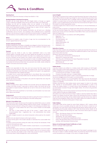**Terms & Conditions**

#### **Opening Hours**

The School is open from Monday to Friday from 08:30 to 17:00.

#### **Booking Enquiries & Enrolment Procedures**

Enquiries can be made directly with ACE English Malta or through our agents. A reply confrming availability will be sent by the School within one working day. Bookings can be sent by booking online via our website, or by email on ace@aceenglishmalta.com, or by fax on (+356) 2733 1135 or by post to ACE English Malta, Level 4, Bay Street Complex, St. George's Bay, St. Julian's, STJ 3311, Malta. You can also complete our online Enrolment Form.

Once the School has all the required information we will send you a Booking Confrmation and an Invoice. Your booking is fully confrmed once a substantial deposit or the full amount is paid to the School by bank transfer. If a deposit is paid then the balance must be settled at least 2 weeks prior to arrival at the School.

#### **Minors**

Enrolments for students under 18 years of age must be accompanied by the School's signed Parental Consent Form.

#### **Students with Special Needs**

Students suffering from any illness or disability are obliged to inform the School upon registration providing all relevant details. There may be additional charges for any extra expenses or personal attention required.

#### **Payment**

Payment can be made in cash, by major credit/debit cards or by bank transfer (SWIFT) or through PayPal. Our bank details are provided on the School's invoice. Please note that bank transfers may take 5 to 6 working days to reach our account. Payment can be made in any currency which will be converted to Euros at the rate of exchange on the date payment is made. All additional foreign and/ or local bank fees and charges must be paid by the student/agent. Students/agents must advise the School by email when any payments are made, clearly stating the student's full name and invoice number.

#### **Visas**

Students are responsible for their visas and must ensure that they apply for the required travel documents in plenty of time before travel. The School will provide a Booking Confrmation and Visa Letter to facilitate the student's visa application. A Visa Administration Fee of €40.00 will apply.

If a student has to cancel their booking due to visa refusal, they must send the School a copy of the visa refusal letter and we will refund the fees less the €100.00 non-refundable deposit.

Refunds will only be made to the person who paid the original fees and using the same method of transaction.

#### **Airport Transfers**

Students booking return airport transfers must provide arrival and departure fight numbers and times at least 7 days prior to arrival in Malta. The School will not be responsible for missed transfers if details are not sent in time and no refunds will be granted.

Any student that books apartment or host family accommodation must also book return airport taxi transfers.

#### **Postponement**

Students may postpone their booking start date by giving the School a minimum of 14 days' notice. All fees will be transferred to the later starting date.

#### **Refunds & Cancellation Fees**

The School will not give refunds once the student has started their course. In certain cases the School may consider offering credit for future courses. Cancellation of a booking must be received in writing and is subject to the following cancellation fees:

- More than 14 days before the start of the course: €100.00 non-refundable deposit.
- Less than 14 days before the start of the course: 1 week's tuition and accommodation fees + registration fee + visa administration fee (where applicable).

Any bank charges incurred in any refund transaction will be paid by the student/ agent.

Students who are absent for lessons will not get a refund.

No refund will be given if the student decides to terminate the course earlier than booked.

If students cancel and leave during the week, they will lose the remainder of their course for that particular week.

Under no circumstances can students transfer unused lessons or accommodation to other students.

The School will not give a refund on cancelled accommodation once the student has arrived. We strongly recommend that students take out an insurance policy cover in case they are unable to start or fnish their course for reasons outside their control (e.g. illness, family emergencies, work commitments).

#### **Level of English**

We strongly recommend that students do their Placement Test prior to their arrival in Malta as they will then be able to go straight to class on their frst day and will not miss any lessons. The Placement Test is available online through the ACE English Malta website. If a student does not have the minimum level of English required to follow a specifc course as determined by the test then the School reserves the right to move the student to another appropriate course.

A Monthly Progress Test is held at school in the afternoon on the last Wednesday of every month.

If students make no request to change level within their frst week they have to wait for the next Monthly Progress Test. Only those students who have been at the same level for one month and have attended at least 80% of their course are allowed to take the Progress Test.

Our courses are leveled in accordance with CEFR guidelines:

- Beginners = A1
- Elementary = A1+
- Pre-Intermediate = A2
- Intermediate = B1 Upper-Intermediate = B2
- 
- Advanced = C1 Proficiency = C2

### **Reduction of Lessons**

If less than three students are participating at a particular level then the amount of lessons will be reduced. As soon as there are additional students in class, the normal lesson times will be resumed.

The lessons will be reduced as follows:

- ACE Group 20 / ACE Mini 20 / ACE Business 20
- Reduced to 15 lessons per week.
- ACE Group 30 / ACE Business 30 / Exam Preparation Courses 30 Reduced to 20 lessons per week.
- ACE Business 40

Reduced to 30 lessons per week.

#### **Holiday Breaks**

Long stay students are entitled to a holiday break whilst studying at ACE English Malta. The length of their holiday depends on the duration of their course. There is no holiday entitlement for courses of less than 8 weeks.

- Courses from 8 to 23 weeks = 2 weeks holiday
- Courses of 24 weeks and over = 4 weeks holiday

The School will extend the student's tuition course (if requested) free of charge. The School will **NOT** extend the student's accommodation.

If the student is staying in our accommodation then they must pay the brochure price to extend their accommodation. We can only extend the accommodation subject to availability.

Students returning from their holiday break cannot expect to return to the same class, teacher or accommodation (unless the accommodation is paid in full during the holiday break). If a student leaves their belongings at their place of accommodation (booked through ACE English Malta), the School will guarantee the same room.

Students requiring a visa for study purposes must ensure that their visa is issued for the correct dates to include any holiday breaks.

All students must notify the School at least 2 weeks in advance before they take a holiday. No holidays should be taken without frst informing the School. If students do not notify the School they will be marked absent and the School may need to notify the Visa Immigration Office which may make it difficult for students to retain or extend their visa. No refunds will be given in these cases.

#### **Public Holidays**

ACE English Malta will be closed for some Public Holidays in 2017. Lessons will be made up as much as possible during the week that the School is closed but not necessarily in full. Only One-to-One individual private lessons will be made up in full. The following are the public holidays in 2017 when the School will be closed. On all other public holidays that fall during the week, the School will be open for classes as usual.

- Friday, 10th February (Feast of St. Paul's Shipwreck)
- Friday, 14th April (Good Friday)
- Wednesday, 7th June ('Sette Giugno')
- Thursday, 21st September (Independence Day)
- Friday, 8th December (Feast of the Immaculate Conception)
- Monday, 25th December (Christmas Day)

#### **Reissue of Lost/Damaged Student Certifcates or Cards** €25.00 (+ postage where applicable)

#### **Changes to Booking**

The School reserves the right to change any part of the student's package to another type of similar or better standard where circumstances beyond the School's control necessitate such changes. In this case no charges will apply.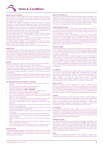**Terms & Conditions**

#### **Attendance Policy & Discipline**

It is the policy of ACE English Malta that no student is allowed into their classroom if they are more than 5 minutes late for class. They will therefore miss that morning's lessons. This is to minimize disruption to other students and the teacher. Lessons missed due to lateness are not replaced.

ACE English Malta students are required to attend at least 80% of scheduled classes and to complete all homework assignments. Failure to do so may result in the withholding of course certifcates. If a student repeatedly does not attend classes then disciplinary action may be taken. In the case of any student requiring a visa to study in Malta and failing to attend classes regularly, the appropriate authorities will be informed by ACE English Malta of any such failure. Regular absenteeism could lead to the student being expelled and no refunds will be given.

The use of mobile phones in the classroom is strictly forbidden. Mobile phones are to be switched off during lessons. ACE English Malta's teachers reserve the right to confscate mobiles if used during a lesson.

ACE English Malta expects all of our students to maintain decent and reasonable standards of behaviour at the School and in our accommodation.

If a student regularly misbehaves or causes disturbance of any kind or fails to observe School policies, guidelines, rules and regulations they will be subject to any disciplinary action that ACE English Malta may deem ft.

In such cases the student will have no right or claim to any refund whatsoever.

#### **Policies & Rules**

All students are bound to abide by the policies and rules of ACE English Malta and by the laws governing the country. When a reservation is made by an agent or third party, the person making the booking is responsible for informing the student about the School's terms, conditions, policies and rules. The School's policies and rules are provided in the Student Handbook and in some other literature provided. Ignorance of the policies and rules will not be accepted as an excuse for non-compliance and may lead to expulsion of the student from the School.

#### **Expulsion**

The School expects all its students to be well-motivated, polite and considerate towards staff, host families, other students and the public in general.

The School may, without being held liable in any manner whatsoever, exclude students from any service applied for, if, in the opinion of the directors, management or staff they appear likely to endanger their own health, safety or comfort, or that of other students, or damage the property or reputation of the School, sub-contractors or third parties.

If a student regularly disregards School and/or accommodation policies and rules, the directors, management or staff reserve the right to expel the student. There will be no refund, and in the event of repatriation, the School shall have the right to reclaim any costs incurred.

#### **Self-Catering Apartment Accommodation – House Rules**

- Smoking is not allowed in the apartment, common areas, elevators and stairwells.
- No noise or disturbance is allowed, especially after 23:00.
- Guests are not allowed in the apartment at any time.
- Parties in the apartment are **STRICTLY FORBIDDEN**.
- The kitchen and bathroom must be cleared up and cleaned after use.
- The apartment must be kept clean and tidy at all times.
- On the day the apartment is cleaned, the student's room should be left clear so the cleaning staff can do their work. The room must be left unlocked otherwise it will not be cleaned.
- Lights, fans, A/C's, heaters and other electrical equipment must be switched off when not in use and especially before students leave the apartment.
- Any abuse of electricity will incur extra charges for all the students in that apartment.
- If students are in a sharing room they must not leave their things on the other bed even if it is not being used.
- Students are responsible for taking the garbage out for collection early in the morning (before 08:30) on the correct days.
- Students are responsible for their keys. Lost keys will be replaced at a charge to the student.
- Any damages must be replaced or paid for by all students in the apartment.
- Apartment furniture must not be taken onto balconies as it will get damaged by the sun and rain.
- Washed clothes must not be put out to dry on the balcony as this is illegal in Malta.
- School management reserves the right to enter the apartment and the bedrooms at any time if necessary.
- School cleaning staff are also allowed to enter the apartment and the bedrooms for weekly cleaning and in preparation for new student arrivals.

#### **Apartment Deposit**

A refundable damage deposit of €100.00 (cash) is required from every student staying in self-catering apartment accommodation. This must be paid at school reception on the frst day of school and will be returned on the last day pending any issues relating to the apartment.

#### **Malta ECO Contribution Tax**

All students of any nationality aged 18 years and older staying in apartment or host family accommodation must pay an ECO Tax of €0.50 per night with a maximum of €5.00 per stay. By law, all English language schools must collect this tax on behalf of the Government of Malta. Students must pay the ECO Contribution Tax on their frst day at school. The school will issue a receipt as proof of payment. This does not apply to students who have not booked any accommodation with the school.

#### **Student Complaint Procedure**

If a student needs to make a complaint or feels uncomfortable for any reason, they must contact the School administration without delay. Complaints that have not been brought to the attention of the School administration during the student's stay will not be addressed at a later date.

Concerns regarding courses, accommodation, or any other service provided by the School or its sub-contractors are to be registered with any member of the administration at the School either verbally at the time of occurrence or in writing within 24 hours. Queries, problems or issues cannot be resolved unless this procedure has been followed. No complaints and/or claims for compensation will be accepted by the School if queries, problems or issues are brought to the School's attention after 24 hours of occurrence or after the enrolment end date.

#### **Insurance & Liability**

All international students who study with ACE English Malta are strongly encouraged to have adequate health and travel insurance. Students are advised to purchase insurance, including medical insurance, to cover all eventualities before leaving their own country. Students may be held liable for any loss, damage or injury to persons or property, however caused.

Should a student be ill and require medical assistance the School will do its utmost to help and will put the student in contact with a qualifed medical general practitioner at a local pharmacy. The doctor will charge the student directly in cash. Prices for a home consultation visit are in the region of €15.00 to €30.00 per visit. The School should be notifed in advance if a student has an existing medical condition, allergy, etc. It is strongly suggested that EU citizens get a European Health Insurance Card. If a student needs to take out additional insurance while in Malta this can be arranged by the School.

#### **Force Majeure**

In the event that ACE English Malta is unable to fulfll any of its obligations as a result of an event or events beyond ACE English Malta's reasonable control, ACE English Malta will not accept responsibility or liability. Such events will include (however will not be limited to) terrorist attacks, war or the threat of war, riots, industrial action, failure of suppliers or sub-contractors, labour disputes, natural or man-made disasters, unusually adverse weather conditions or any other event or events that may classify Malta as an "at risk destination " by the Ministry of Foreign Affairs.

#### **Safety & Security**

Although a number of security measures are in place to ensure that the School and accommodation are safe, all personal possessions are the individual's responsibility. Students are advised to take care of their belongings and never leave them unattended. Students' possessions are not covered by the School's insurance policy and the directors, management or staff cannot be held responsible for the theft, loss, or damage to students' valuables even while being held for safe-keeping.

#### **Damages**

The full cost must be paid by students causing any damage to the School or place of accommodation, or during any service provided by the School or its sub-contractors. In the case of damages caused in shared accommodation, all students in the respective accommodation will be held equally responsible if no single student accepts responsibility. Breakages and damages will be charged as they arise. The School retains the right to withhold the damage deposit paid on arrival.

#### **Data Protection**

By submitting their information, students agree to the storage and use of the information by ACE English Malta. All information collected by the School will not be passed on to any other organization or third party and will be stored and processed in accordance with the Data Protection Act of the country. This information will only be used when necessary to provide the services the student has enrolled for and for any other purpose associated with these services.

#### **Photography & Filming**

It is automatically assumed that pictures taken during lessons or activities or any pictures given to the School or its staff can be used in ACE English Malta brochures or other printed or online promotional materials unless the student objects at the time the photograph is taken. All images are without charge to the School and without obligation to credit the owner of the image. Should students wish to refrain from being photographed or flmed, kindly let us know and we will ensure that no student is used for promotional purposes against their will.

#### **Agents**

These terms and conditions are applicable to direct students and agents unless variations are expressly agreed between the agent and ACE English Malta in writing.